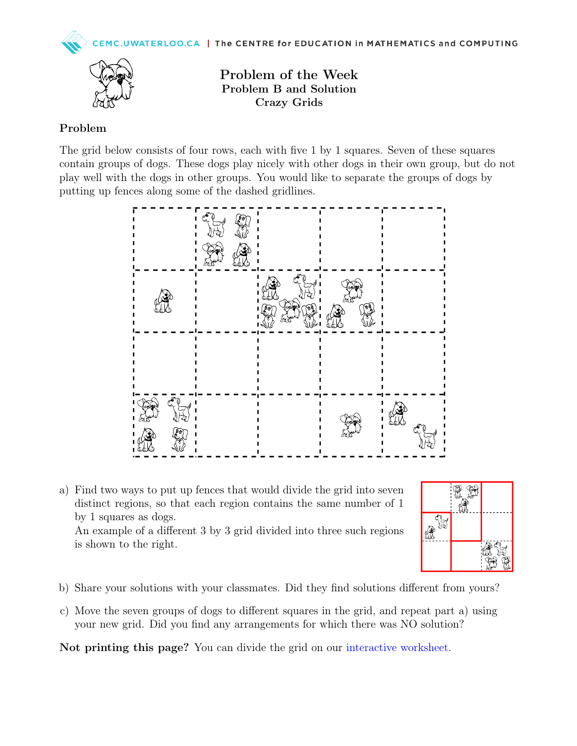

Problem B and Solution Crazy Grids

## Problem

The grid below consists of four rows, each with five 1 by 1 squares. Seven of these squares contain groups of dogs. These dogs play nicely with other dogs in their own group, but do not play well with the dogs in other groups. You would like to separate the groups of dogs by putting up fences along some of the dashed gridlines.



a) Find two ways to put up fences that would divide the grid into seven distinct regions, so that each region contains the same number of 1 by 1 squares as dogs. An example of a different 3 by 3 grid divided into three such regions is shown to the right.



- b) Share your solutions with your classmates. Did they find solutions different from yours?
- c) Move the seven groups of dogs to different squares in the grid, and repeat part a) using your new grid. Did you find any arrangements for which there was NO solution?

Not printing this page? You can divide the grid on our [interactive worksheet.](https://www.geogebra.org/m/pvy89pty)